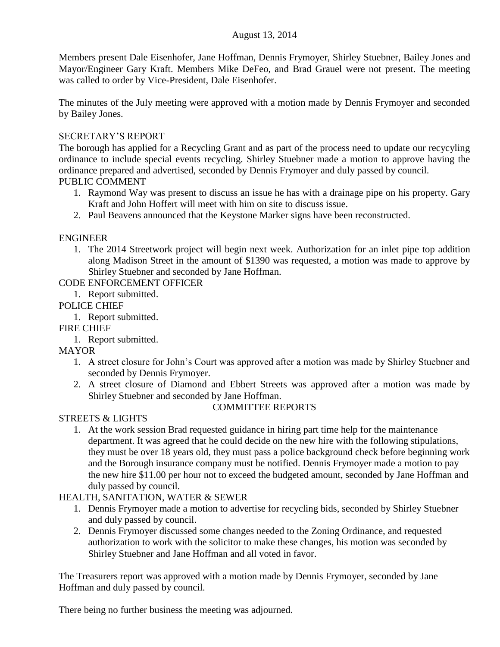### August 13, 2014

Members present Dale Eisenhofer, Jane Hoffman, Dennis Frymoyer, Shirley Stuebner, Bailey Jones and Mayor/Engineer Gary Kraft. Members Mike DeFeo, and Brad Grauel were not present. The meeting was called to order by Vice-President, Dale Eisenhofer.

The minutes of the July meeting were approved with a motion made by Dennis Frymoyer and seconded by Bailey Jones.

### SECRETARY'S REPORT

The borough has applied for a Recycling Grant and as part of the process need to update our recycyling ordinance to include special events recycling. Shirley Stuebner made a motion to approve having the ordinance prepared and advertised, seconded by Dennis Frymoyer and duly passed by council. PUBLIC COMMENT

- 1. Raymond Way was present to discuss an issue he has with a drainage pipe on his property. Gary Kraft and John Hoffert will meet with him on site to discuss issue.
- 2. Paul Beavens announced that the Keystone Marker signs have been reconstructed.

# ENGINEER

1. The 2014 Streetwork project will begin next week. Authorization for an inlet pipe top addition along Madison Street in the amount of \$1390 was requested, a motion was made to approve by Shirley Stuebner and seconded by Jane Hoffman.

CODE ENFORCEMENT OFFICER

1. Report submitted.

POLICE CHIEF

- 1. Report submitted.
- FIRE CHIEF
	- 1. Report submitted.

MAYOR

- 1. A street closure for John's Court was approved after a motion was made by Shirley Stuebner and seconded by Dennis Frymoyer.
- 2. A street closure of Diamond and Ebbert Streets was approved after a motion was made by Shirley Stuebner and seconded by Jane Hoffman.

# COMMITTEE REPORTS

# STREETS & LIGHTS

1. At the work session Brad requested guidance in hiring part time help for the maintenance department. It was agreed that he could decide on the new hire with the following stipulations, they must be over 18 years old, they must pass a police background check before beginning work and the Borough insurance company must be notified. Dennis Frymoyer made a motion to pay the new hire \$11.00 per hour not to exceed the budgeted amount, seconded by Jane Hoffman and duly passed by council.

# HEALTH, SANITATION, WATER & SEWER

- 1. Dennis Frymoyer made a motion to advertise for recycling bids, seconded by Shirley Stuebner and duly passed by council.
- 2. Dennis Frymoyer discussed some changes needed to the Zoning Ordinance, and requested authorization to work with the solicitor to make these changes, his motion was seconded by Shirley Stuebner and Jane Hoffman and all voted in favor.

The Treasurers report was approved with a motion made by Dennis Frymoyer, seconded by Jane Hoffman and duly passed by council.

There being no further business the meeting was adjourned.